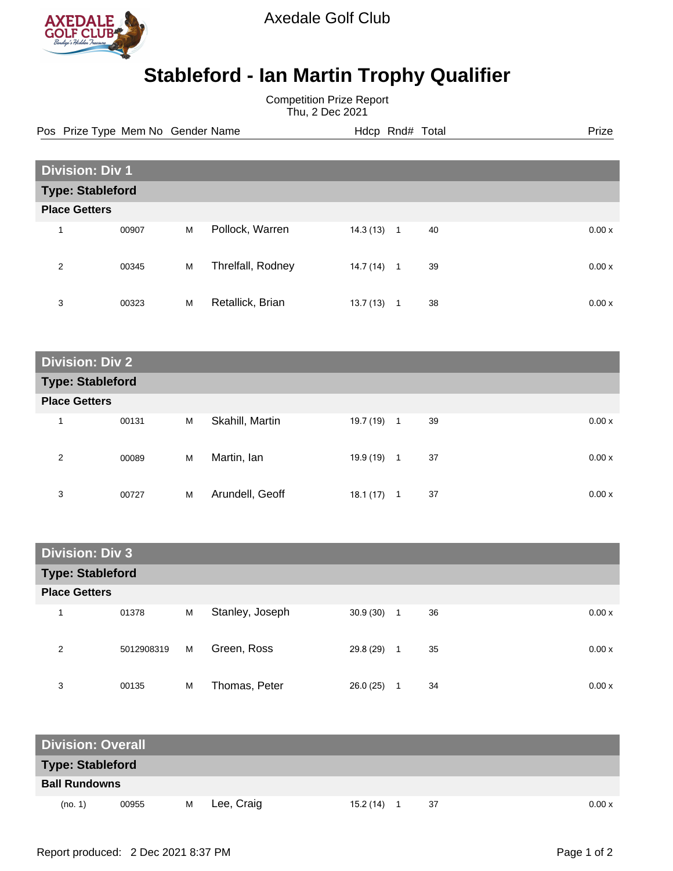

Axedale Golf Club

## **Stableford - Ian Martin Trophy Qualifier**

Competition Prize Report Thu, 2 Dec 2021

Pos Prize Type Mem No Gender Name **Heath Hotel And According Prize** Prize

| <b>Division: Div 1</b>  |       |   |                   |           |                |    |  |        |  |
|-------------------------|-------|---|-------------------|-----------|----------------|----|--|--------|--|
| <b>Type: Stableford</b> |       |   |                   |           |                |    |  |        |  |
| <b>Place Getters</b>    |       |   |                   |           |                |    |  |        |  |
| 1                       | 00907 | M | Pollock, Warren   | 14.3 (13) | $\overline{1}$ | 40 |  | 0.00x  |  |
| 2                       | 00345 | M | Threlfall, Rodney | 14.7 (14) | $\mathbf{1}$   | 39 |  | 0.00 x |  |
| 3                       | 00323 | M | Retallick, Brian  | 13.7(13)  | 1              | 38 |  | 0.00x  |  |

| <b>Division: Div 2</b>  |       |   |                 |              |              |    |  |       |  |
|-------------------------|-------|---|-----------------|--------------|--------------|----|--|-------|--|
| <b>Type: Stableford</b> |       |   |                 |              |              |    |  |       |  |
| <b>Place Getters</b>    |       |   |                 |              |              |    |  |       |  |
| и                       | 00131 | M | Skahill, Martin | $19.7(19)$ 1 |              | 39 |  | 0.00x |  |
| 2                       | 00089 | M | Martin, lan     | 19.9 (19)    | $\mathbf{1}$ | 37 |  | 0.00x |  |
| 3                       | 00727 | M | Arundell, Geoff | 18.1(17)     |              | 37 |  | 0.00x |  |

| <b>Division: Div 3</b>  |            |   |                 |           |                |    |  |       |  |
|-------------------------|------------|---|-----------------|-----------|----------------|----|--|-------|--|
| <b>Type: Stableford</b> |            |   |                 |           |                |    |  |       |  |
| <b>Place Getters</b>    |            |   |                 |           |                |    |  |       |  |
| 1                       | 01378      | M | Stanley, Joseph | 30.9(30)  | $\overline{1}$ | 36 |  | 0.00x |  |
| 2                       | 5012908319 | M | Green, Ross     | 29.8 (29) | -1             | 35 |  | 0.00x |  |
| 3                       | 00135      | M | Thomas, Peter   | 26.0(25)  |                | 34 |  | 0.00x |  |

| <b>Division: Overall</b> |       |   |            |  |           |  |    |  |       |
|--------------------------|-------|---|------------|--|-----------|--|----|--|-------|
| <b>Type: Stableford</b>  |       |   |            |  |           |  |    |  |       |
| <b>Ball Rundowns</b>     |       |   |            |  |           |  |    |  |       |
| (no. 1)                  | 00955 | M | Lee, Craig |  | 15.2 (14) |  | 37 |  | 0.00x |